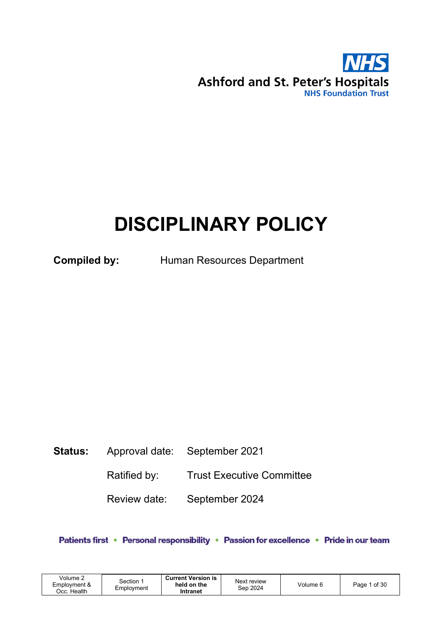

# DISCIPLINARY POLICY

Compiled by: Human Resources Department

# Status: Approval date: September 2021

Ratified by: Trust Executive Committee

Review date: September 2024

Patients first • Personal responsibility • Passion for excellence • Pride in our team

| Volume 2<br>Employment &<br>Health<br>Jcc. | Section 1<br>Employment | <b>Current Version is</b><br>held on the<br>Intranet | Next review<br>Sep 2024 | Volume 6 | of 30<br>Page |
|--------------------------------------------|-------------------------|------------------------------------------------------|-------------------------|----------|---------------|
|--------------------------------------------|-------------------------|------------------------------------------------------|-------------------------|----------|---------------|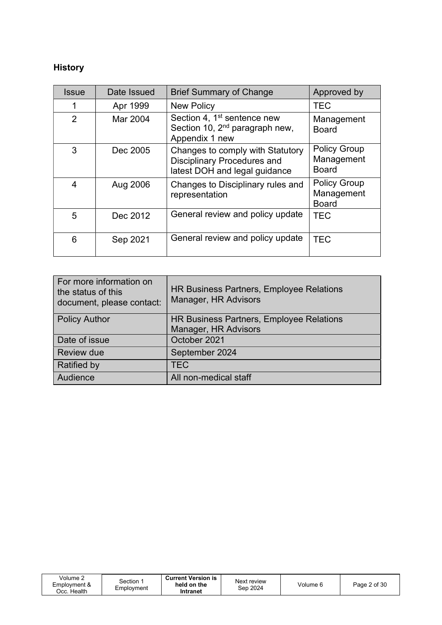# History

| <b>Issue</b>   | Date Issued | <b>Brief Summary of Change</b>                                                                          | Approved by                                       |
|----------------|-------------|---------------------------------------------------------------------------------------------------------|---------------------------------------------------|
|                | Apr 1999    | <b>New Policy</b>                                                                                       | <b>TEC</b>                                        |
| $\overline{2}$ | Mar 2004    | Section 4, 1 <sup>st</sup> sentence new<br>Section 10, 2 <sup>nd</sup> paragraph new,<br>Appendix 1 new | Management<br><b>Board</b>                        |
| 3              | Dec 2005    | Changes to comply with Statutory<br><b>Disciplinary Procedures and</b><br>latest DOH and legal guidance | <b>Policy Group</b><br>Management<br><b>Board</b> |
| $\overline{4}$ | Aug 2006    | Changes to Disciplinary rules and<br>representation                                                     | <b>Policy Group</b><br>Management<br><b>Board</b> |
| 5              | Dec 2012    | General review and policy update                                                                        | <b>TEC</b>                                        |
| 6              | Sep 2021    | General review and policy update                                                                        | <b>TEC</b>                                        |

| For more information on<br>the status of this<br>document, please contact: | HR Business Partners, Employee Relations<br>Manager, HR Advisors |
|----------------------------------------------------------------------------|------------------------------------------------------------------|
| <b>Policy Author</b>                                                       | HR Business Partners, Employee Relations<br>Manager, HR Advisors |
|                                                                            |                                                                  |
| Date of issue                                                              | October 2021                                                     |
| <b>Review due</b>                                                          | September 2024                                                   |
| <b>Ratified by</b>                                                         | <b>TEC</b>                                                       |
| Audience                                                                   | All non-medical staff                                            |

| Volume 2<br>Employment &<br>Эсс. Health | Section :<br>Employment | <b>Current Version is</b><br>held on the<br>Intranet | Next review<br>Sep 2024 | Volume 6 | Page 2 of 30 |
|-----------------------------------------|-------------------------|------------------------------------------------------|-------------------------|----------|--------------|
|-----------------------------------------|-------------------------|------------------------------------------------------|-------------------------|----------|--------------|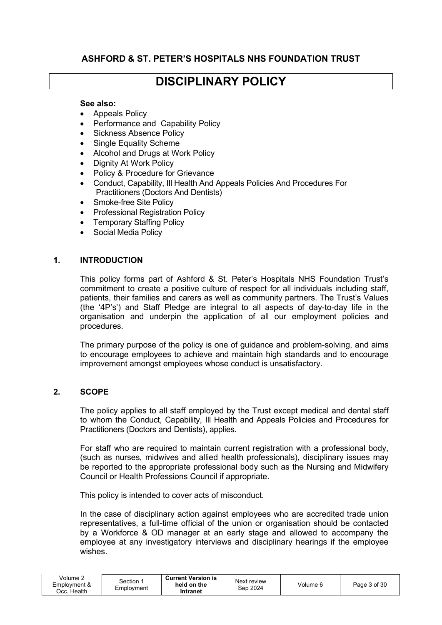# ASHFORD & ST. PETER'S HOSPITALS NHS FOUNDATION TRUST

# DISCIPLINARY POLICY

#### See also:

- Appeals Policy
- Performance and Capability Policy
- Sickness Absence Policy
- Single Equality Scheme
- Alcohol and Drugs at Work Policy
- Dignity At Work Policy
- Policy & Procedure for Grievance
- Conduct, Capability, Ill Health And Appeals Policies And Procedures For Practitioners (Doctors And Dentists)
- Smoke-free Site Policy
- Professional Registration Policy
- Temporary Staffing Policy
- Social Media Policy

#### 1. INTRODUCTION

This policy forms part of Ashford & St. Peter's Hospitals NHS Foundation Trust's commitment to create a positive culture of respect for all individuals including staff, patients, their families and carers as well as community partners. The Trust's Values (the '4P's') and Staff Pledge are integral to all aspects of day-to-day life in the organisation and underpin the application of all our employment policies and procedures.

The primary purpose of the policy is one of guidance and problem-solving, and aims to encourage employees to achieve and maintain high standards and to encourage improvement amongst employees whose conduct is unsatisfactory.

#### 2. SCOPE

The policy applies to all staff employed by the Trust except medical and dental staff to whom the Conduct, Capability, Ill Health and Appeals Policies and Procedures for Practitioners (Doctors and Dentists), applies.

For staff who are required to maintain current registration with a professional body, (such as nurses, midwives and allied health professionals), disciplinary issues may be reported to the appropriate professional body such as the Nursing and Midwifery Council or Health Professions Council if appropriate.

This policy is intended to cover acts of misconduct.

In the case of disciplinary action against employees who are accredited trade union representatives, a full-time official of the union or organisation should be contacted by a Workforce & OD manager at an early stage and allowed to accompany the employee at any investigatory interviews and disciplinary hearings if the employee wishes.

| Volume ∠<br>Employment &<br>Health<br>Dcc. I | Section<br>Employment | <b>Current Version is</b><br>held on the<br>Intranet | Next review<br>Sep 2024 | Volume 6 | Page 3 of 30 |
|----------------------------------------------|-----------------------|------------------------------------------------------|-------------------------|----------|--------------|
|----------------------------------------------|-----------------------|------------------------------------------------------|-------------------------|----------|--------------|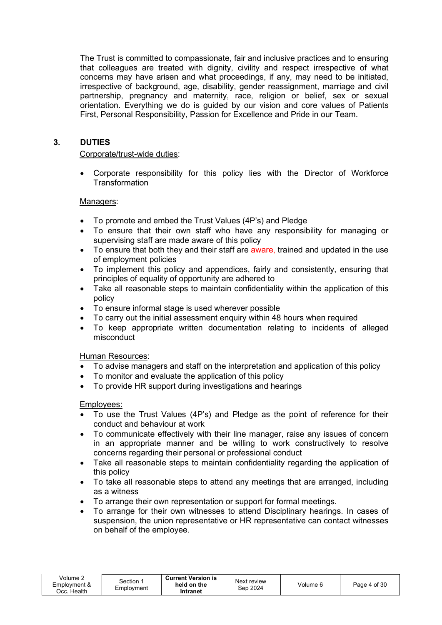The Trust is committed to compassionate, fair and inclusive practices and to ensuring that colleagues are treated with dignity, civility and respect irrespective of what concerns may have arisen and what proceedings, if any, may need to be initiated, irrespective of background, age, disability, gender reassignment, marriage and civil partnership, pregnancy and maternity, race, religion or belief, sex or sexual orientation. Everything we do is guided by our vision and core values of Patients First, Personal Responsibility, Passion for Excellence and Pride in our Team.

# 3. DUTIES

#### Corporate/trust-wide duties:

 Corporate responsibility for this policy lies with the Director of Workforce **Transformation** 

#### Managers:

- To promote and embed the Trust Values (4P's) and Pledge
- To ensure that their own staff who have any responsibility for managing or supervising staff are made aware of this policy
- To ensure that both they and their staff are aware, trained and updated in the use of employment policies
- To implement this policy and appendices, fairly and consistently, ensuring that principles of equality of opportunity are adhered to
- Take all reasonable steps to maintain confidentiality within the application of this policy
- To ensure informal stage is used wherever possible
- To carry out the initial assessment enquiry within 48 hours when required
- To keep appropriate written documentation relating to incidents of alleged misconduct

#### Human Resources:

- To advise managers and staff on the interpretation and application of this policy
- To monitor and evaluate the application of this policy
- To provide HR support during investigations and hearings

#### Employees:

- To use the Trust Values (4P's) and Pledge as the point of reference for their conduct and behaviour at work
- To communicate effectively with their line manager, raise any issues of concern in an appropriate manner and be willing to work constructively to resolve concerns regarding their personal or professional conduct
- Take all reasonable steps to maintain confidentiality regarding the application of this policy
- To take all reasonable steps to attend any meetings that are arranged, including as a witness
- To arrange their own representation or support for formal meetings.
- To arrange for their own witnesses to attend Disciplinary hearings. In cases of suspension, the union representative or HR representative can contact witnesses on behalf of the employee.

| Volume $\ge$<br>Employment &<br>Cc. Health. | Section 1<br>Employment | <b>Current Version is</b><br>held on the<br>Intranet | Next review<br>Sep 2024 | Volume 6 | Page 4 of 30 |
|---------------------------------------------|-------------------------|------------------------------------------------------|-------------------------|----------|--------------|
|---------------------------------------------|-------------------------|------------------------------------------------------|-------------------------|----------|--------------|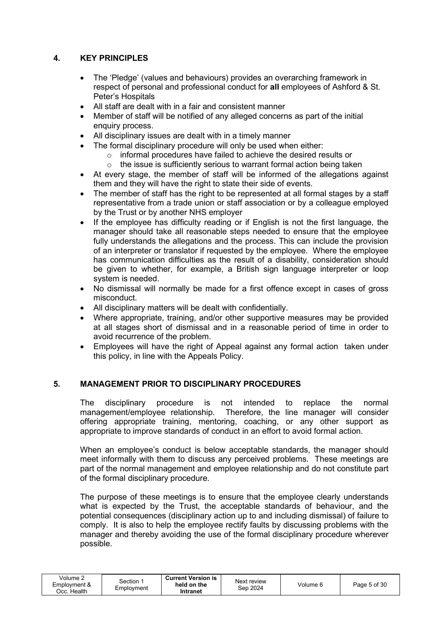# 4. KEY PRINCIPLES

- The 'Pledge' (values and behaviours) provides an overarching framework in respect of personal and professional conduct for all employees of Ashford & St. Peter's Hospitals
- All staff are dealt with in a fair and consistent manner
- Member of staff will be notified of any alleged concerns as part of the initial enquiry process.
- All disciplinary issues are dealt with in a timely manner
- The formal disciplinary procedure will only be used when either:
	- o informal procedures have failed to achieve the desired results or
	- $\circ$  the issue is sufficiently serious to warrant formal action being taken
- At every stage, the member of staff will be informed of the allegations against them and they will have the right to state their side of events.
- The member of staff has the right to be represented at all formal stages by a staff representative from a trade union or staff association or by a colleague employed by the Trust or by another NHS employer
- If the employee has difficulty reading or if English is not the first language, the manager should take all reasonable steps needed to ensure that the employee fully understands the allegations and the process. This can include the provision of an interpreter or translator if requested by the employee. Where the employee has communication difficulties as the result of a disability, consideration should be given to whether, for example, a British sign language interpreter or loop system is needed.
- No dismissal will normally be made for a first offence except in cases of gross misconduct.
- All disciplinary matters will be dealt with confidentially.
- Where appropriate, training, and/or other supportive measures may be provided at all stages short of dismissal and in a reasonable period of time in order to avoid recurrence of the problem.
- Employees will have the right of Appeal against any formal action taken under this policy, in line with the Appeals Policy.

# 5. MANAGEMENT PRIOR TO DISCIPLINARY PROCEDURES

The disciplinary procedure is not intended to replace the normal management/employee relationship. Therefore, the line manager will consider offering appropriate training, mentoring, coaching, or any other support as appropriate to improve standards of conduct in an effort to avoid formal action.

When an employee's conduct is below acceptable standards, the manager should meet informally with them to discuss any perceived problems. These meetings are part of the normal management and employee relationship and do not constitute part of the formal disciplinary procedure.

The purpose of these meetings is to ensure that the employee clearly understands what is expected by the Trust, the acceptable standards of behaviour, and the potential consequences (disciplinary action up to and including dismissal) of failure to comply. It is also to help the employee rectify faults by discussing problems with the manager and thereby avoiding the use of the formal disciplinary procedure wherever possible.

| Volume ∠<br>Employment &<br>Health<br>Occ. | Section<br>Emplovment | <b>Current Version is</b><br>held on the<br>Intranet | Next review<br>Sep 2024 | Volume 6 | Page 5 of 30 |
|--------------------------------------------|-----------------------|------------------------------------------------------|-------------------------|----------|--------------|
|--------------------------------------------|-----------------------|------------------------------------------------------|-------------------------|----------|--------------|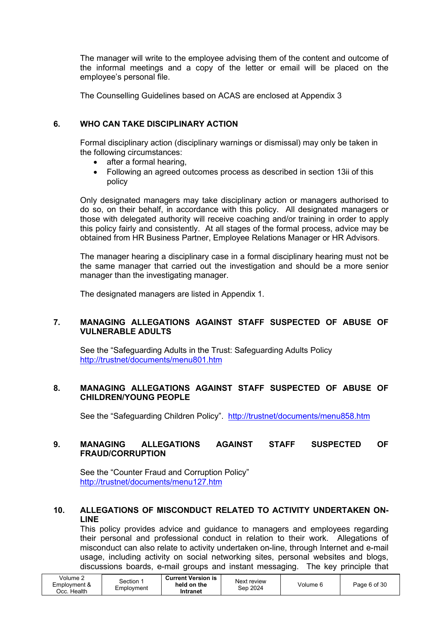The manager will write to the employee advising them of the content and outcome of the informal meetings and a copy of the letter or email will be placed on the employee's personal file.

The Counselling Guidelines based on ACAS are enclosed at Appendix 3

#### 6. WHO CAN TAKE DISCIPLINARY ACTION

Formal disciplinary action (disciplinary warnings or dismissal) may only be taken in the following circumstances:

- after a formal hearing.
- Following an agreed outcomes process as described in section 13ii of this policy

Only designated managers may take disciplinary action or managers authorised to do so, on their behalf, in accordance with this policy. All designated managers or those with delegated authority will receive coaching and/or training in order to apply this policy fairly and consistently. At all stages of the formal process, advice may be obtained from HR Business Partner, Employee Relations Manager or HR Advisors.

The manager hearing a disciplinary case in a formal disciplinary hearing must not be the same manager that carried out the investigation and should be a more senior manager than the investigating manager.

The designated managers are listed in Appendix 1.

#### 7. MANAGING ALLEGATIONS AGAINST STAFF SUSPECTED OF ABUSE OF VULNERABLE ADULTS

See the "Safeguarding Adults in the Trust: Safeguarding Adults Policy http://trustnet/documents/menu801.htm

#### 8. MANAGING ALLEGATIONS AGAINST STAFF SUSPECTED OF ABUSE OF CHILDREN/YOUNG PEOPLE

See the "Safeguarding Children Policy". http://trustnet/documents/menu858.htm

#### 9. MANAGING ALLEGATIONS AGAINST STAFF SUSPECTED OF FRAUD/CORRUPTION

See the "Counter Fraud and Corruption Policy" http://trustnet/documents/menu127.htm

#### 10. ALLEGATIONS OF MISCONDUCT RELATED TO ACTIVITY UNDERTAKEN ON- LINE

This policy provides advice and guidance to managers and employees regarding their personal and professional conduct in relation to their work. Allegations of misconduct can also relate to activity undertaken on-line, through Internet and e-mail usage, including activity on social networking sites, personal websites and blogs, discussions boards, e-mail groups and instant messaging. The key principle that

| Volume $\epsilon$<br>Employment &<br>Эсс. Health | Section<br>Employment | <b>Current Version is</b><br>held on the<br>Intranet | Next review<br>Sep 2024 | Volume 6 | Page 6 of 30 |
|--------------------------------------------------|-----------------------|------------------------------------------------------|-------------------------|----------|--------------|
|--------------------------------------------------|-----------------------|------------------------------------------------------|-------------------------|----------|--------------|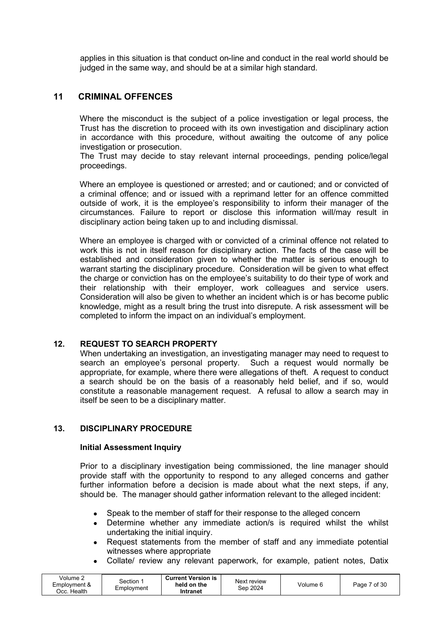applies in this situation is that conduct on-line and conduct in the real world should be judged in the same way, and should be at a similar high standard.

#### 11 CRIMINAL OFFENCES

Where the misconduct is the subject of a police investigation or legal process, the Trust has the discretion to proceed with its own investigation and disciplinary action in accordance with this procedure, without awaiting the outcome of any police investigation or prosecution.

The Trust may decide to stay relevant internal proceedings, pending police/legal proceedings.

Where an employee is questioned or arrested; and or cautioned; and or convicted of a criminal offence; and or issued with a reprimand letter for an offence committed outside of work, it is the employee's responsibility to inform their manager of the circumstances. Failure to report or disclose this information will/may result in disciplinary action being taken up to and including dismissal.

Where an employee is charged with or convicted of a criminal offence not related to work this is not in itself reason for disciplinary action. The facts of the case will be established and consideration given to whether the matter is serious enough to warrant starting the disciplinary procedure. Consideration will be given to what effect the charge or conviction has on the employee's suitability to do their type of work and their relationship with their employer, work colleagues and service users. Consideration will also be given to whether an incident which is or has become public knowledge, might as a result bring the trust into disrepute. A risk assessment will be completed to inform the impact on an individual's employment.

#### 12. REQUEST TO SEARCH PROPERTY

When undertaking an investigation, an investigating manager may need to request to search an employee's personal property. Such a request would normally be appropriate, for example, where there were allegations of theft. A request to conduct a search should be on the basis of a reasonably held belief, and if so, would constitute a reasonable management request. A refusal to allow a search may in itself be seen to be a disciplinary matter.

#### 13. DISCIPLINARY PROCEDURE

#### Initial Assessment Inquiry

Prior to a disciplinary investigation being commissioned, the line manager should provide staff with the opportunity to respond to any alleged concerns and gather further information before a decision is made about what the next steps, if any, should be. The manager should gather information relevant to the alleged incident:

- Speak to the member of staff for their response to the alleged concern
- Determine whether any immediate action/s is required whilst the whilst undertaking the initial inquiry.
- Request statements from the member of staff and any immediate potential witnesses where appropriate
- Collate/ review any relevant paperwork, for example, patient notes, Datix

| Volume 2<br>Section<br>Employment &<br>Employment<br>Health<br>Occ. ' | <b>Current Version is</b><br>held on the<br>Intranet | Next review<br>Sep 2024 | Volume 6 | 7 of 30<br>Page |
|-----------------------------------------------------------------------|------------------------------------------------------|-------------------------|----------|-----------------|
|-----------------------------------------------------------------------|------------------------------------------------------|-------------------------|----------|-----------------|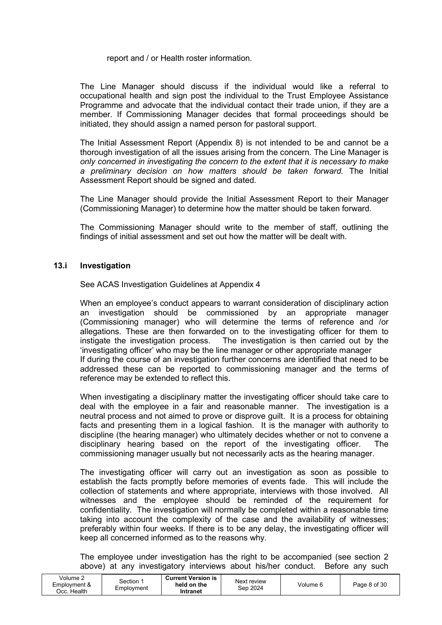report and / or Health roster information.

The Line Manager should discuss if the individual would like a referral to occupational health and sign post the individual to the Trust Employee Assistance Programme and advocate that the individual contact their trade union, if they are a member. If Commissioning Manager decides that formal proceedings should be initiated, they should assign a named person for pastoral support.

The Initial Assessment Report (Appendix 8) is not intended to be and cannot be a thorough investigation of all the issues arising from the concern. The Line Manager is only concerned in investigating the concern to the extent that it is necessary to make a preliminary decision on how matters should be taken forward. The Initial Assessment Report should be signed and dated.

The Line Manager should provide the Initial Assessment Report to their Manager (Commissioning Manager) to determine how the matter should be taken forward.

The Commissioning Manager should write to the member of staff, outlining the findings of initial assessment and set out how the matter will be dealt with.

#### 13.i Investigation

See ACAS Investigation Guidelines at Appendix 4

When an employee's conduct appears to warrant consideration of disciplinary action an investigation should be commissioned by an appropriate manager (Commissioning manager) who will determine the terms of reference and /or allegations. These are then forwarded on to the investigating officer for them to instigate the investigation process. The investigation is then carried out by the 'investigating officer' who may be the line manager or other appropriate manager If during the course of an investigation further concerns are identified that need to be addressed these can be reported to commissioning manager and the terms of reference may be extended to reflect this.

When investigating a disciplinary matter the investigating officer should take care to deal with the employee in a fair and reasonable manner. The investigation is a neutral process and not aimed to prove or disprove guilt. It is a process for obtaining facts and presenting them in a logical fashion. It is the manager with authority to discipline (the hearing manager) who ultimately decides whether or not to convene a disciplinary hearing based on the report of the investigating officer. The commissioning manager usually but not necessarily acts as the hearing manager.

The investigating officer will carry out an investigation as soon as possible to establish the facts promptly before memories of events fade. This will include the collection of statements and where appropriate, interviews with those involved. All witnesses and the employee should be reminded of the requirement for confidentiality. The investigation will normally be completed within a reasonable time taking into account the complexity of the case and the availability of witnesses; preferably within four weeks. If there is to be any delay, the investigating officer will keep all concerned informed as to the reasons why.

The employee under investigation has the right to be accompanied (see section 2 above) at any investigatory interviews about his/her conduct. Before any such

| Volume 2<br>Employment &<br>. Health | Section<br>Employment | <b>Current Version is</b><br>held on the<br>Intranet | Next review<br>Sep 2024 | Volume 6 | Page 8 of 30 |
|--------------------------------------|-----------------------|------------------------------------------------------|-------------------------|----------|--------------|
|--------------------------------------|-----------------------|------------------------------------------------------|-------------------------|----------|--------------|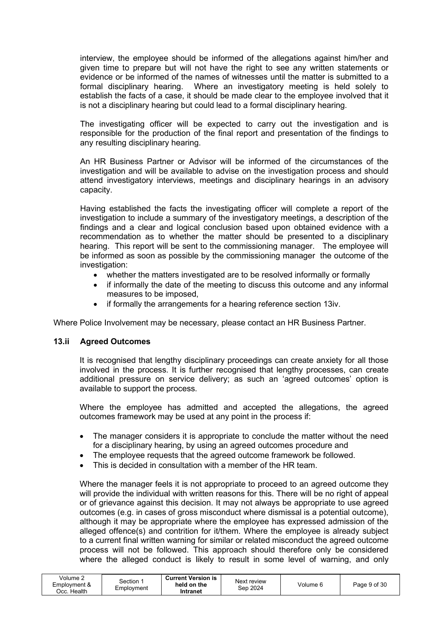interview, the employee should be informed of the allegations against him/her and given time to prepare but will not have the right to see any written statements or evidence or be informed of the names of witnesses until the matter is submitted to a formal disciplinary hearing. Where an investigatory meeting is held solely to establish the facts of a case, it should be made clear to the employee involved that it is not a disciplinary hearing but could lead to a formal disciplinary hearing.

The investigating officer will be expected to carry out the investigation and is responsible for the production of the final report and presentation of the findings to any resulting disciplinary hearing.

An HR Business Partner or Advisor will be informed of the circumstances of the investigation and will be available to advise on the investigation process and should attend investigatory interviews, meetings and disciplinary hearings in an advisory capacity.

Having established the facts the investigating officer will complete a report of the investigation to include a summary of the investigatory meetings, a description of the findings and a clear and logical conclusion based upon obtained evidence with a recommendation as to whether the matter should be presented to a disciplinary hearing. This report will be sent to the commissioning manager. The employee will be informed as soon as possible by the commissioning manager the outcome of the investigation:

- whether the matters investigated are to be resolved informally or formally
- if informally the date of the meeting to discuss this outcome and any informal measures to be imposed,
- if formally the arrangements for a hearing reference section 13iv.

Where Police Involvement may be necessary, please contact an HR Business Partner.

#### 13.ii Agreed Outcomes

It is recognised that lengthy disciplinary proceedings can create anxiety for all those involved in the process. It is further recognised that lengthy processes, can create additional pressure on service delivery; as such an 'agreed outcomes' option is available to support the process.

Where the employee has admitted and accepted the allegations, the agreed outcomes framework may be used at any point in the process if:

- The manager considers it is appropriate to conclude the matter without the need for a disciplinary hearing, by using an agreed outcomes procedure and
- The employee requests that the agreed outcome framework be followed.
- This is decided in consultation with a member of the HR team.

Where the manager feels it is not appropriate to proceed to an agreed outcome they will provide the individual with written reasons for this. There will be no right of appeal or of grievance against this decision. It may not always be appropriate to use agreed outcomes (e.g. in cases of gross misconduct where dismissal is a potential outcome), although it may be appropriate where the employee has expressed admission of the alleged offence(s) and contrition for it/them. Where the employee is already subject to a current final written warning for similar or related misconduct the agreed outcome process will not be followed. This approach should therefore only be considered where the alleged conduct is likely to result in some level of warning, and only

| Volume $\lambda$<br>Employment &<br>Health<br>Jcc. ⊦ | Section<br>Employment | <b>Current Version is</b><br>held on the<br>Intranet | Next review<br>Sep 2024 | Volume 6 | Page 9 of 30 |
|------------------------------------------------------|-----------------------|------------------------------------------------------|-------------------------|----------|--------------|
|------------------------------------------------------|-----------------------|------------------------------------------------------|-------------------------|----------|--------------|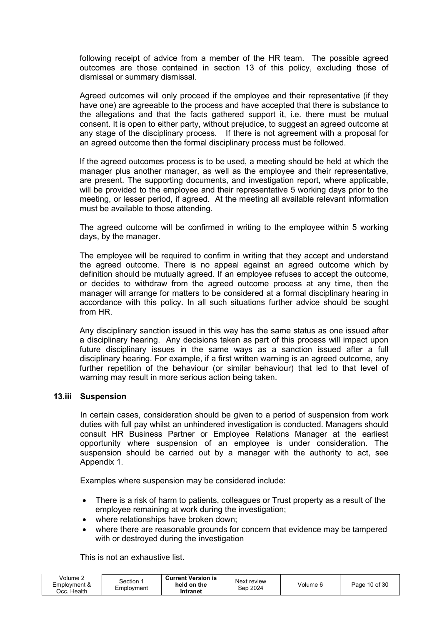following receipt of advice from a member of the HR team. The possible agreed outcomes are those contained in section 13 of this policy, excluding those of dismissal or summary dismissal.

Agreed outcomes will only proceed if the employee and their representative (if they have one) are agreeable to the process and have accepted that there is substance to the allegations and that the facts gathered support it, i.e. there must be mutual consent. It is open to either party, without prejudice, to suggest an agreed outcome at any stage of the disciplinary process. If there is not agreement with a proposal for an agreed outcome then the formal disciplinary process must be followed.

If the agreed outcomes process is to be used, a meeting should be held at which the manager plus another manager, as well as the employee and their representative, are present. The supporting documents, and investigation report, where applicable, will be provided to the employee and their representative 5 working days prior to the meeting, or lesser period, if agreed. At the meeting all available relevant information must be available to those attending.

The agreed outcome will be confirmed in writing to the employee within 5 working days, by the manager.

The employee will be required to confirm in writing that they accept and understand the agreed outcome. There is no appeal against an agreed outcome which by definition should be mutually agreed. If an employee refuses to accept the outcome, or decides to withdraw from the agreed outcome process at any time, then the manager will arrange for matters to be considered at a formal disciplinary hearing in accordance with this policy. In all such situations further advice should be sought from HR.

Any disciplinary sanction issued in this way has the same status as one issued after a disciplinary hearing. Any decisions taken as part of this process will impact upon future disciplinary issues in the same ways as a sanction issued after a full disciplinary hearing. For example, if a first written warning is an agreed outcome, any further repetition of the behaviour (or similar behaviour) that led to that level of warning may result in more serious action being taken.

#### 13.iii Suspension

In certain cases, consideration should be given to a period of suspension from work duties with full pay whilst an unhindered investigation is conducted. Managers should consult HR Business Partner or Employee Relations Manager at the earliest opportunity where suspension of an employee is under consideration. The suspension should be carried out by a manager with the authority to act, see Appendix 1.

Examples where suspension may be considered include:

- There is a risk of harm to patients, colleagues or Trust property as a result of the employee remaining at work during the investigation;
- where relationships have broken down;
- where there are reasonable grounds for concern that evidence may be tampered with or destroyed during the investigation

This is not an exhaustive list.

| Volume 2<br>Employment &<br>Occ. Health | Section<br>Employment | <b>Current Version is</b><br>held on the<br>Intranet | Next review<br>Sep 2024 | Volume 6 | Page 10 of 30 |
|-----------------------------------------|-----------------------|------------------------------------------------------|-------------------------|----------|---------------|
|-----------------------------------------|-----------------------|------------------------------------------------------|-------------------------|----------|---------------|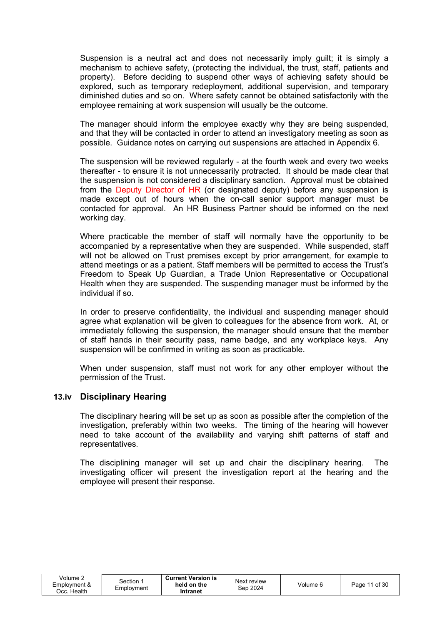Suspension is a neutral act and does not necessarily imply guilt; it is simply a mechanism to achieve safety, (protecting the individual, the trust, staff, patients and property). Before deciding to suspend other ways of achieving safety should be explored, such as temporary redeployment, additional supervision, and temporary diminished duties and so on. Where safety cannot be obtained satisfactorily with the employee remaining at work suspension will usually be the outcome.

The manager should inform the employee exactly why they are being suspended, and that they will be contacted in order to attend an investigatory meeting as soon as possible. Guidance notes on carrying out suspensions are attached in Appendix 6.

The suspension will be reviewed regularly - at the fourth week and every two weeks thereafter - to ensure it is not unnecessarily protracted. It should be made clear that the suspension is not considered a disciplinary sanction. Approval must be obtained from the Deputy Director of HR (or designated deputy) before any suspension is made except out of hours when the on-call senior support manager must be contacted for approval. An HR Business Partner should be informed on the next working day.

Where practicable the member of staff will normally have the opportunity to be accompanied by a representative when they are suspended. While suspended, staff will not be allowed on Trust premises except by prior arrangement, for example to attend meetings or as a patient. Staff members will be permitted to access the Trust's Freedom to Speak Up Guardian, a Trade Union Representative or Occupational Health when they are suspended. The suspending manager must be informed by the individual if so.

In order to preserve confidentiality, the individual and suspending manager should agree what explanation will be given to colleagues for the absence from work. At, or immediately following the suspension, the manager should ensure that the member of staff hands in their security pass, name badge, and any workplace keys. Any suspension will be confirmed in writing as soon as practicable.

When under suspension, staff must not work for any other employer without the permission of the Trust.

# 13.iv Disciplinary Hearing

The disciplinary hearing will be set up as soon as possible after the completion of the investigation, preferably within two weeks. The timing of the hearing will however need to take account of the availability and varying shift patterns of staff and representatives.

The disciplining manager will set up and chair the disciplinary hearing. The investigating officer will present the investigation report at the hearing and the employee will present their response.

| Volume $\sim$<br>Employment &<br>Эсс. Health | Section ↑<br>Employment | <b>Current Version is</b><br>held on the<br>Intranet | Next review<br>Sep 2024 | Volume 6 | Page 11 of 30 |
|----------------------------------------------|-------------------------|------------------------------------------------------|-------------------------|----------|---------------|
|----------------------------------------------|-------------------------|------------------------------------------------------|-------------------------|----------|---------------|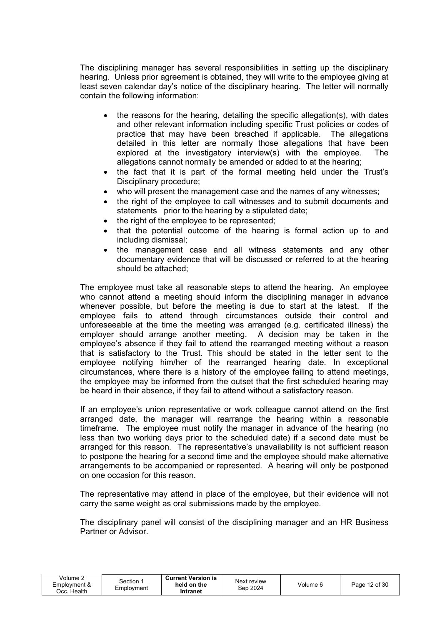The disciplining manager has several responsibilities in setting up the disciplinary hearing. Unless prior agreement is obtained, they will write to the employee giving at least seven calendar day's notice of the disciplinary hearing. The letter will normally contain the following information:

- the reasons for the hearing, detailing the specific allegation(s), with dates and other relevant information including specific Trust policies or codes of practice that may have been breached if applicable. The allegations detailed in this letter are normally those allegations that have been explored at the investigatory interview(s) with the employee. The allegations cannot normally be amended or added to at the hearing;
- the fact that it is part of the formal meeting held under the Trust's Disciplinary procedure;
- who will present the management case and the names of any witnesses;
- the right of the employee to call witnesses and to submit documents and statements prior to the hearing by a stipulated date;
- the right of the employee to be represented;
- that the potential outcome of the hearing is formal action up to and including dismissal;
- the management case and all witness statements and any other documentary evidence that will be discussed or referred to at the hearing should be attached;

The employee must take all reasonable steps to attend the hearing. An employee who cannot attend a meeting should inform the disciplining manager in advance whenever possible, but before the meeting is due to start at the latest. If the employee fails to attend through circumstances outside their control and unforeseeable at the time the meeting was arranged (e.g. certificated illness) the employer should arrange another meeting. A decision may be taken in the employee's absence if they fail to attend the rearranged meeting without a reason that is satisfactory to the Trust. This should be stated in the letter sent to the employee notifying him/her of the rearranged hearing date. In exceptional circumstances, where there is a history of the employee failing to attend meetings, the employee may be informed from the outset that the first scheduled hearing may be heard in their absence, if they fail to attend without a satisfactory reason.

If an employee's union representative or work colleague cannot attend on the first arranged date, the manager will rearrange the hearing within a reasonable timeframe. The employee must notify the manager in advance of the hearing (no less than two working days prior to the scheduled date) if a second date must be arranged for this reason. The representative's unavailability is not sufficient reason to postpone the hearing for a second time and the employee should make alternative arrangements to be accompanied or represented. A hearing will only be postponed on one occasion for this reason.

The representative may attend in place of the employee, but their evidence will not carry the same weight as oral submissions made by the employee.

The disciplinary panel will consist of the disciplining manager and an HR Business Partner or Advisor.

| Volume 2<br>Employment &<br>Эсс. Health. | Section<br>Emplovment | <b>Current Version is</b><br>held on the<br>Intranet | Next review<br>Sep 2024 | Volume 6 | Page 12 of 30 |
|------------------------------------------|-----------------------|------------------------------------------------------|-------------------------|----------|---------------|
|------------------------------------------|-----------------------|------------------------------------------------------|-------------------------|----------|---------------|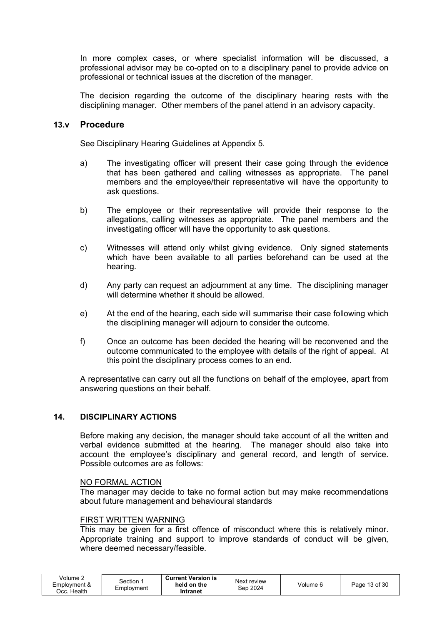In more complex cases, or where specialist information will be discussed, a professional advisor may be co-opted on to a disciplinary panel to provide advice on professional or technical issues at the discretion of the manager.

The decision regarding the outcome of the disciplinary hearing rests with the disciplining manager. Other members of the panel attend in an advisory capacity.

#### 13.v Procedure

See Disciplinary Hearing Guidelines at Appendix 5.

- a) The investigating officer will present their case going through the evidence that has been gathered and calling witnesses as appropriate. The panel members and the employee/their representative will have the opportunity to ask questions.
- b) The employee or their representative will provide their response to the allegations, calling witnesses as appropriate. The panel members and the investigating officer will have the opportunity to ask questions.
- c) Witnesses will attend only whilst giving evidence. Only signed statements which have been available to all parties beforehand can be used at the hearing.
- d) Any party can request an adjournment at any time. The disciplining manager will determine whether it should be allowed.
- e) At the end of the hearing, each side will summarise their case following which the disciplining manager will adjourn to consider the outcome.
- f) Once an outcome has been decided the hearing will be reconvened and the outcome communicated to the employee with details of the right of appeal. At this point the disciplinary process comes to an end.

A representative can carry out all the functions on behalf of the employee, apart from answering questions on their behalf.

#### 14. DISCIPLINARY ACTIONS

Before making any decision, the manager should take account of all the written and verbal evidence submitted at the hearing. The manager should also take into account the employee's disciplinary and general record, and length of service. Possible outcomes are as follows:

#### NO FORMAL ACTION

The manager may decide to take no formal action but may make recommendations about future management and behavioural standards

#### FIRST WRITTEN WARNING

This may be given for a first offence of misconduct where this is relatively minor. Appropriate training and support to improve standards of conduct will be given, where deemed necessary/feasible.

| Volume 2<br>Employment &<br>Occ. Health | Section<br>Emplovment | <b>Current Version is</b><br>held on the<br>Intranet | Next review<br>Sep 2024 | Volume 6 | Page 13 of 30 |
|-----------------------------------------|-----------------------|------------------------------------------------------|-------------------------|----------|---------------|
|                                         |                       |                                                      |                         |          |               |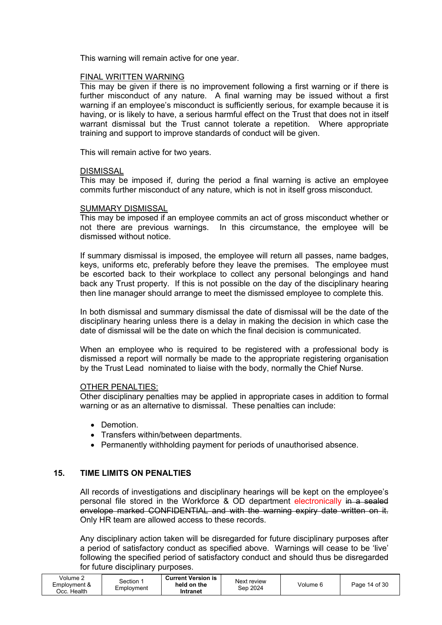This warning will remain active for one year.

#### FINAL WRITTEN WARNING

This may be given if there is no improvement following a first warning or if there is further misconduct of any nature. A final warning may be issued without a first warning if an employee's misconduct is sufficiently serious, for example because it is having, or is likely to have, a serious harmful effect on the Trust that does not in itself warrant dismissal but the Trust cannot tolerate a repetition. Where appropriate training and support to improve standards of conduct will be given.

This will remain active for two years.

#### **DISMISSAL**

This may be imposed if, during the period a final warning is active an employee commits further misconduct of any nature, which is not in itself gross misconduct.

#### SUMMARY DISMISSAL

This may be imposed if an employee commits an act of gross misconduct whether or not there are previous warnings. In this circumstance, the employee will be dismissed without notice.

If summary dismissal is imposed, the employee will return all passes, name badges, keys, uniforms etc, preferably before they leave the premises. The employee must be escorted back to their workplace to collect any personal belongings and hand back any Trust property. If this is not possible on the day of the disciplinary hearing then line manager should arrange to meet the dismissed employee to complete this.

In both dismissal and summary dismissal the date of dismissal will be the date of the disciplinary hearing unless there is a delay in making the decision in which case the date of dismissal will be the date on which the final decision is communicated.

When an employee who is required to be registered with a professional body is dismissed a report will normally be made to the appropriate registering organisation by the Trust Lead nominated to liaise with the body, normally the Chief Nurse.

#### OTHER PENALTIES:

Other disciplinary penalties may be applied in appropriate cases in addition to formal warning or as an alternative to dismissal. These penalties can include:

- Demotion.
- Transfers within/between departments.
- Permanently withholding payment for periods of unauthorised absence.

#### 15. TIME LIMITS ON PENALTIES

All records of investigations and disciplinary hearings will be kept on the employee's personal file stored in the Workforce & OD department electronically in a sealed envelope marked CONFIDENTIAL and with the warning expiry date written on it. Only HR team are allowed access to these records.

Any disciplinary action taken will be disregarded for future disciplinary purposes after a period of satisfactory conduct as specified above. Warnings will cease to be 'live' following the specified period of satisfactory conduct and should thus be disregarded for future disciplinary purposes.

| Volume $\sim$<br>Section<br>Employment &<br>Employment<br>Health<br>Occ. | <b>Current Version is</b><br>Next review<br>held on the<br>Sep 2024<br>Intranet | Volume c | 14 of 30<br>$P$ age |
|--------------------------------------------------------------------------|---------------------------------------------------------------------------------|----------|---------------------|
|--------------------------------------------------------------------------|---------------------------------------------------------------------------------|----------|---------------------|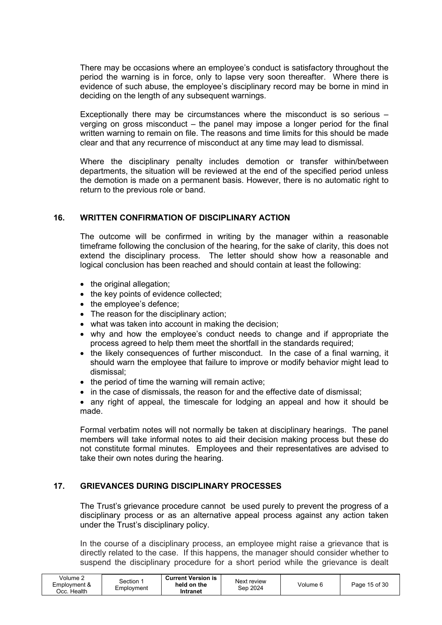There may be occasions where an employee's conduct is satisfactory throughout the period the warning is in force, only to lapse very soon thereafter. Where there is evidence of such abuse, the employee's disciplinary record may be borne in mind in deciding on the length of any subsequent warnings.

Exceptionally there may be circumstances where the misconduct is so serious – verging on gross misconduct – the panel may impose a longer period for the final written warning to remain on file. The reasons and time limits for this should be made clear and that any recurrence of misconduct at any time may lead to dismissal.

Where the disciplinary penalty includes demotion or transfer within/between departments, the situation will be reviewed at the end of the specified period unless the demotion is made on a permanent basis. However, there is no automatic right to return to the previous role or band.

#### 16. WRITTEN CONFIRMATION OF DISCIPLINARY ACTION

The outcome will be confirmed in writing by the manager within a reasonable timeframe following the conclusion of the hearing, for the sake of clarity, this does not extend the disciplinary process. The letter should show how a reasonable and logical conclusion has been reached and should contain at least the following:

- the original allegation;
- the key points of evidence collected;
- the employee's defence;
- The reason for the disciplinary action;
- what was taken into account in making the decision:
- why and how the employee's conduct needs to change and if appropriate the process agreed to help them meet the shortfall in the standards required;
- the likely consequences of further misconduct. In the case of a final warning, it should warn the employee that failure to improve or modify behavior might lead to dismissal;
- $\bullet$  the period of time the warning will remain active;
- in the case of dismissals, the reason for and the effective date of dismissal;
- any right of appeal, the timescale for lodging an appeal and how it should be made.

Formal verbatim notes will not normally be taken at disciplinary hearings. The panel members will take informal notes to aid their decision making process but these do not constitute formal minutes. Employees and their representatives are advised to take their own notes during the hearing.

#### 17. GRIEVANCES DURING DISCIPLINARY PROCESSES

The Trust's grievance procedure cannot be used purely to prevent the progress of a disciplinary process or as an alternative appeal process against any action taken under the Trust's disciplinary policy.

In the course of a disciplinary process, an employee might raise a grievance that is directly related to the case. If this happens, the manager should consider whether to suspend the disciplinary procedure for a short period while the grievance is dealt

| Volume $\sim$<br>Employment &<br>Health<br>Jcc. ' | Section<br>Employment | <b>Current Version is</b><br>held on the<br>Intranet | Next review<br>Sep 2024 | Volume 6 | Page 15 of 30 |
|---------------------------------------------------|-----------------------|------------------------------------------------------|-------------------------|----------|---------------|
|---------------------------------------------------|-----------------------|------------------------------------------------------|-------------------------|----------|---------------|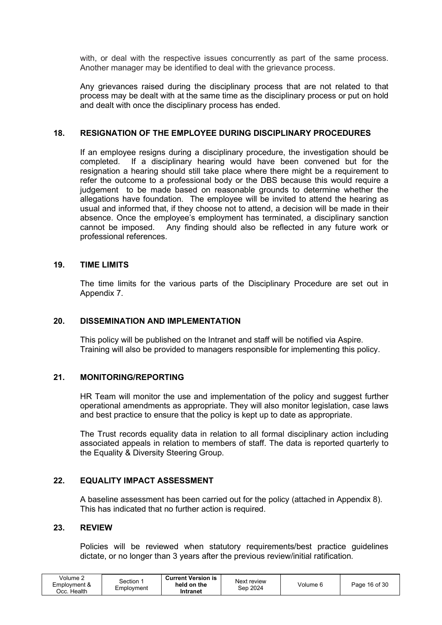with, or deal with the respective issues concurrently as part of the same process. Another manager may be identified to deal with the grievance process.

Any grievances raised during the disciplinary process that are not related to that process may be dealt with at the same time as the disciplinary process or put on hold and dealt with once the disciplinary process has ended.

#### 18. RESIGNATION OF THE EMPLOYEE DURING DISCIPLINARY PROCEDURES

If an employee resigns during a disciplinary procedure, the investigation should be completed. If a disciplinary hearing would have been convened but for the resignation a hearing should still take place where there might be a requirement to refer the outcome to a professional body or the DBS because this would require a judgement to be made based on reasonable grounds to determine whether the allegations have foundation. The employee will be invited to attend the hearing as usual and informed that, if they choose not to attend, a decision will be made in their absence. Once the employee's employment has terminated, a disciplinary sanction cannot be imposed. Any finding should also be reflected in any future work or professional references.

#### 19. TIME LIMITS

The time limits for the various parts of the Disciplinary Procedure are set out in Appendix 7.

#### 20. DISSEMINATION AND IMPLEMENTATION

This policy will be published on the Intranet and staff will be notified via Aspire. Training will also be provided to managers responsible for implementing this policy.

#### 21. MONITORING/REPORTING

HR Team will monitor the use and implementation of the policy and suggest further operational amendments as appropriate. They will also monitor legislation, case laws and best practice to ensure that the policy is kept up to date as appropriate.

The Trust records equality data in relation to all formal disciplinary action including associated appeals in relation to members of staff. The data is reported quarterly to the Equality & Diversity Steering Group.

#### 22. EQUALITY IMPACT ASSESSMENT

A baseline assessment has been carried out for the policy (attached in Appendix 8). This has indicated that no further action is required.

#### 23. REVIEW

Policies will be reviewed when statutory requirements/best practice guidelines dictate, or no longer than 3 years after the previous review/initial ratification.

| Volume $\ge$<br>Employment &<br>. Health | Section<br>Employment | <b>Current Version is</b><br>held on the<br>Intranet | Next review<br>Sep 2024 | Volume 6 | Page 16 of 30 |
|------------------------------------------|-----------------------|------------------------------------------------------|-------------------------|----------|---------------|
|------------------------------------------|-----------------------|------------------------------------------------------|-------------------------|----------|---------------|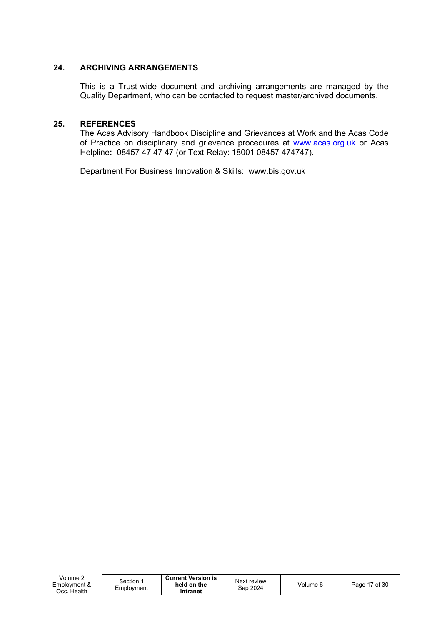#### 24. ARCHIVING ARRANGEMENTS

This is a Trust-wide document and archiving arrangements are managed by the Quality Department, who can be contacted to request master/archived documents.

#### 25. REFERENCES

The Acas Advisory Handbook Discipline and Grievances at Work and the Acas Code of Practice on disciplinary and grievance procedures at www.acas.org.uk or Acas Helpline: 08457 47 47 47 (or Text Relay: 18001 08457 474747).

Department For Business Innovation & Skills: www.bis.gov.uk

| √olume 2<br>Employment &<br>ටcc. Health | Section<br>Employment | <b>Current Version is</b><br>held on the<br>Intranet | Next review<br>Sep 2024 | Volume 6 | Page 17 of 30 |
|-----------------------------------------|-----------------------|------------------------------------------------------|-------------------------|----------|---------------|
|-----------------------------------------|-----------------------|------------------------------------------------------|-------------------------|----------|---------------|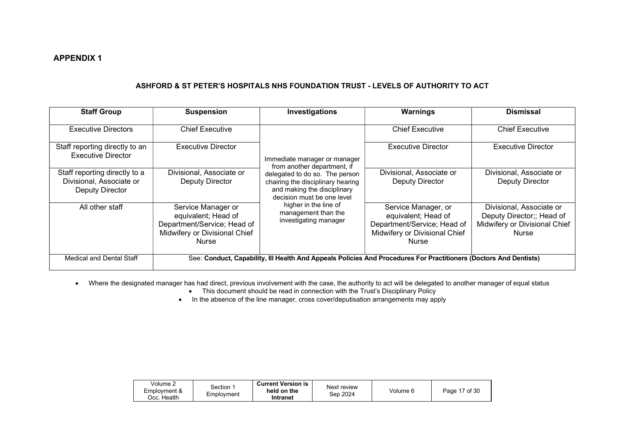#### ASHFORD & ST PETER'S HOSPITALS NHS FOUNDATION TRUST - LEVELS OF AUTHORITY TO ACT

| <b>Staff Group</b>                                                           | <b>Suspension</b>                                                                                                         | Investigations                                                                                                                   | Warnings                                                                                                                   | <b>Dismissal</b>                                                                                       |
|------------------------------------------------------------------------------|---------------------------------------------------------------------------------------------------------------------------|----------------------------------------------------------------------------------------------------------------------------------|----------------------------------------------------------------------------------------------------------------------------|--------------------------------------------------------------------------------------------------------|
| <b>Executive Directors</b>                                                   | <b>Chief Executive</b>                                                                                                    |                                                                                                                                  | <b>Chief Executive</b>                                                                                                     | <b>Chief Executive</b>                                                                                 |
| Staff reporting directly to an<br><b>Executive Director</b>                  | Executive Director                                                                                                        | Immediate manager or manager<br>from another department, if                                                                      | <b>Executive Director</b>                                                                                                  | <b>Executive Director</b>                                                                              |
| Staff reporting directly to a<br>Divisional, Associate or<br>Deputy Director | Divisional, Associate or<br>Deputy Director                                                                               | delegated to do so. The person<br>chairing the disciplinary hearing<br>and making the disciplinary<br>decision must be one level | Divisional, Associate or<br>Deputy Director                                                                                | Divisional, Associate or<br><b>Deputy Director</b>                                                     |
| All other staff                                                              | Service Manager or<br>equivalent; Head of<br>Department/Service; Head of<br>Midwifery or Divisional Chief<br><b>Nurse</b> | higher in the line of<br>management than the<br>investigating manager                                                            | Service Manager, or<br>equivalent; Head of<br>Department/Service; Head of<br>Midwifery or Divisional Chief<br><b>Nurse</b> | Divisional, Associate or<br>Deputy Director;; Head of<br>Midwifery or Divisional Chief<br><b>Nurse</b> |
| Medical and Dental Staff                                                     |                                                                                                                           |                                                                                                                                  | See: Conduct, Capability, III Health And Appeals Policies And Procedures For Practitioners (Doctors And Dentists)          |                                                                                                        |

• Where the designated manager has had direct, previous involvement with the case, the authority to act will be delegated to another manager of equal status

- This document should be read in connection with the Trust's Disciplinary Policy
- In the absence of the line manager, cross cover/deputisation arrangements may apply

| Volume 2<br>Employment &<br>Health<br>Occ. | Section<br>Employment | <b>Current Version is</b><br>held on the<br>Intranet | Next review<br>Sep 2024 | Volume 6 | of $30$<br>Page |
|--------------------------------------------|-----------------------|------------------------------------------------------|-------------------------|----------|-----------------|
|--------------------------------------------|-----------------------|------------------------------------------------------|-------------------------|----------|-----------------|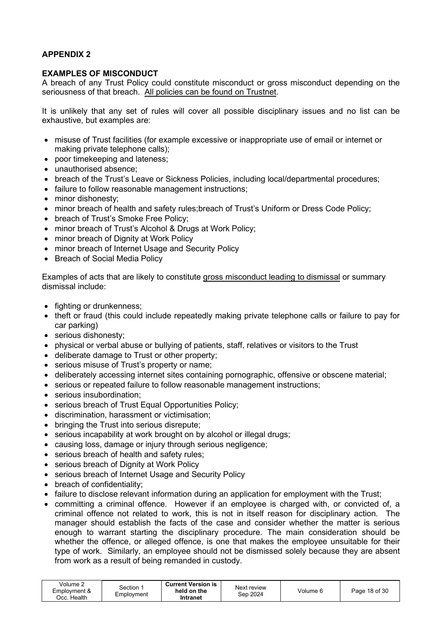#### EXAMPLES OF MISCONDUCT

A breach of any Trust Policy could constitute misconduct or gross misconduct depending on the seriousness of that breach. All policies can be found on Trustnet.

It is unlikely that any set of rules will cover all possible disciplinary issues and no list can be exhaustive, but examples are:

- misuse of Trust facilities (for example excessive or inappropriate use of email or internet or making private telephone calls);
- poor timekeeping and lateness:
- unauthorised absence;
- breach of the Trust's Leave or Sickness Policies, including local/departmental procedures;
- failure to follow reasonable management instructions:
- minor dishonesty;
- minor breach of health and safety rules;breach of Trust's Uniform or Dress Code Policy;
- breach of Trust's Smoke Free Policy:
- minor breach of Trust's Alcohol & Drugs at Work Policy;
- minor breach of Dignity at Work Policy
- minor breach of Internet Usage and Security Policy
- Breach of Social Media Policy

Examples of acts that are likely to constitute gross misconduct leading to dismissal or summary dismissal include:

- fighting or drunkenness:
- theft or fraud (this could include repeatedly making private telephone calls or failure to pay for car parking)
- serious dishonesty:
- physical or verbal abuse or bullying of patients, staff, relatives or visitors to the Trust
- deliberate damage to Trust or other property;
- serious misuse of Trust's property or name;
- deliberately accessing internet sites containing pornographic, offensive or obscene material;
- serious or repeated failure to follow reasonable management instructions;
- serious insubordination:
- serious breach of Trust Equal Opportunities Policy:
- discrimination, harassment or victimisation;
- bringing the Trust into serious disrepute;
- serious incapability at work brought on by alcohol or illegal drugs;
- causing loss, damage or injury through serious negligence;
- serious breach of health and safety rules;
- serious breach of Dignity at Work Policy
- serious breach of Internet Usage and Security Policy
- breach of confidentiality:
- failure to disclose relevant information during an application for employment with the Trust;
- committing a criminal offence. However if an employee is charged with, or convicted of, a criminal offence not related to work, this is not in itself reason for disciplinary action. The manager should establish the facts of the case and consider whether the matter is serious enough to warrant starting the disciplinary procedure. The main consideration should be whether the offence, or alleged offence, is one that makes the employee unsuitable for their type of work. Similarly, an employee should not be dismissed solely because they are absent from work as a result of being remanded in custody.

| Intranet | Volume 2<br>Employment &<br>Jcc. Health | Section 1<br>Employment | <b>Current Version is</b><br>held on the | Next review<br>Sep 2024 | Volume 6 | Page 18 of 30 |
|----------|-----------------------------------------|-------------------------|------------------------------------------|-------------------------|----------|---------------|
|----------|-----------------------------------------|-------------------------|------------------------------------------|-------------------------|----------|---------------|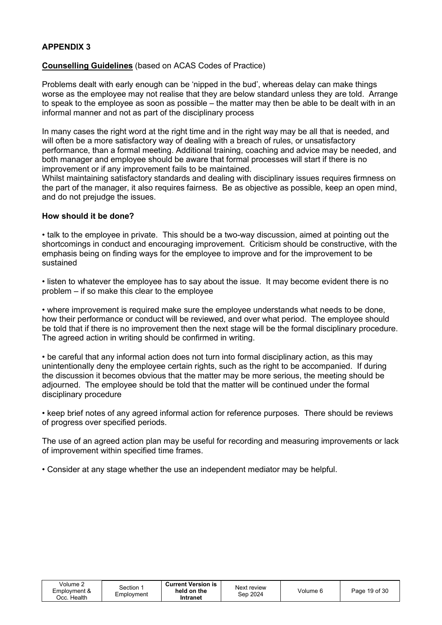#### Counselling Guidelines (based on ACAS Codes of Practice)

Problems dealt with early enough can be 'nipped in the bud', whereas delay can make things worse as the employee may not realise that they are below standard unless they are told. Arrange to speak to the employee as soon as possible – the matter may then be able to be dealt with in an informal manner and not as part of the disciplinary process

In many cases the right word at the right time and in the right way may be all that is needed, and will often be a more satisfactory way of dealing with a breach of rules, or unsatisfactory performance, than a formal meeting. Additional training, coaching and advice may be needed, and both manager and employee should be aware that formal processes will start if there is no improvement or if any improvement fails to be maintained.

Whilst maintaining satisfactory standards and dealing with disciplinary issues requires firmness on the part of the manager, it also requires fairness. Be as objective as possible, keep an open mind, and do not prejudge the issues.

#### How should it be done?

• talk to the employee in private. This should be a two-way discussion, aimed at pointing out the shortcomings in conduct and encouraging improvement. Criticism should be constructive, with the emphasis being on finding ways for the employee to improve and for the improvement to be sustained

• listen to whatever the employee has to say about the issue. It may become evident there is no problem – if so make this clear to the employee

• where improvement is required make sure the employee understands what needs to be done, how their performance or conduct will be reviewed, and over what period. The employee should be told that if there is no improvement then the next stage will be the formal disciplinary procedure. The agreed action in writing should be confirmed in writing.

• be careful that any informal action does not turn into formal disciplinary action, as this may unintentionally deny the employee certain rights, such as the right to be accompanied. If during the discussion it becomes obvious that the matter may be more serious, the meeting should be adjourned. The employee should be told that the matter will be continued under the formal disciplinary procedure

• keep brief notes of any agreed informal action for reference purposes. There should be reviews of progress over specified periods.

The use of an agreed action plan may be useful for recording and measuring improvements or lack of improvement within specified time frames.

• Consider at any stage whether the use an independent mediator may be helpful.

| Volume 2<br>Employment &<br>Occ. Health | Section 1<br>Employment | <b>Current Version is</b><br>held on the<br>Intranet | Next review<br>Sep 2024 | Volume 6 | Page 19 of 30 |
|-----------------------------------------|-------------------------|------------------------------------------------------|-------------------------|----------|---------------|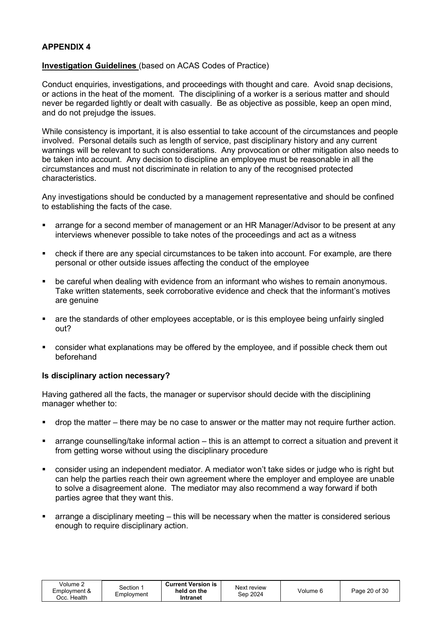#### Investigation Guidelines (based on ACAS Codes of Practice)

Conduct enquiries, investigations, and proceedings with thought and care. Avoid snap decisions, or actions in the heat of the moment. The disciplining of a worker is a serious matter and should never be regarded lightly or dealt with casually. Be as objective as possible, keep an open mind, and do not prejudge the issues.

While consistency is important, it is also essential to take account of the circumstances and people involved. Personal details such as length of service, past disciplinary history and any current warnings will be relevant to such considerations. Any provocation or other mitigation also needs to be taken into account. Any decision to discipline an employee must be reasonable in all the circumstances and must not discriminate in relation to any of the recognised protected characteristics.

Any investigations should be conducted by a management representative and should be confined to establishing the facts of the case.

- arrange for a second member of management or an HR Manager/Advisor to be present at any interviews whenever possible to take notes of the proceedings and act as a witness
- check if there are any special circumstances to be taken into account. For example, are there personal or other outside issues affecting the conduct of the employee
- be careful when dealing with evidence from an informant who wishes to remain anonymous. Take written statements, seek corroborative evidence and check that the informant's motives are genuine
- are the standards of other employees acceptable, or is this employee being unfairly singled out?
- consider what explanations may be offered by the employee, and if possible check them out beforehand

#### Is disciplinary action necessary?

Having gathered all the facts, the manager or supervisor should decide with the disciplining manager whether to:

- drop the matter there may be no case to answer or the matter may not require further action.
- arrange counselling/take informal action this is an attempt to correct a situation and prevent it from getting worse without using the disciplinary procedure
- consider using an independent mediator. A mediator won't take sides or judge who is right but can help the parties reach their own agreement where the employer and employee are unable to solve a disagreement alone. The mediator may also recommend a way forward if both parties agree that they want this.
- arrange a disciplinary meeting this will be necessary when the matter is considered serious enough to require disciplinary action.

| Volume 2<br>Employment &<br>Occ. Health | Section 1<br>Employment | <b>Current Version is</b><br>held on the<br>Intranet | Next review<br>Sep 2024 | Volume 6 | Page 20 of 30 |
|-----------------------------------------|-------------------------|------------------------------------------------------|-------------------------|----------|---------------|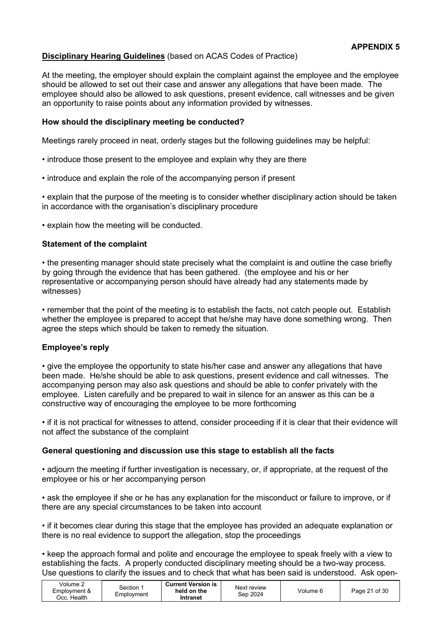## Disciplinary Hearing Guidelines (based on ACAS Codes of Practice)

At the meeting, the employer should explain the complaint against the employee and the employee should be allowed to set out their case and answer any allegations that have been made. The employee should also be allowed to ask questions, present evidence, call witnesses and be given an opportunity to raise points about any information provided by witnesses.

#### How should the disciplinary meeting be conducted?

Meetings rarely proceed in neat, orderly stages but the following guidelines may be helpful:

- introduce those present to the employee and explain why they are there
- introduce and explain the role of the accompanying person if present

• explain that the purpose of the meeting is to consider whether disciplinary action should be taken in accordance with the organisation's disciplinary procedure

• explain how the meeting will be conducted.

#### Statement of the complaint

• the presenting manager should state precisely what the complaint is and outline the case briefly by going through the evidence that has been gathered. (the employee and his or her representative or accompanying person should have already had any statements made by witnesses)

• remember that the point of the meeting is to establish the facts, not catch people out. Establish whether the employee is prepared to accept that he/she may have done something wrong. Then agree the steps which should be taken to remedy the situation.

#### Employee's reply

• give the employee the opportunity to state his/her case and answer any allegations that have been made. He/she should be able to ask questions, present evidence and call witnesses. The accompanying person may also ask questions and should be able to confer privately with the employee. Listen carefully and be prepared to wait in silence for an answer as this can be a constructive way of encouraging the employee to be more forthcoming

• if it is not practical for witnesses to attend, consider proceeding if it is clear that their evidence will not affect the substance of the complaint

#### General questioning and discussion use this stage to establish all the facts

• adjourn the meeting if further investigation is necessary, or, if appropriate, at the request of the employee or his or her accompanying person

• ask the employee if she or he has any explanation for the misconduct or failure to improve, or if there are any special circumstances to be taken into account

• if it becomes clear during this stage that the employee has provided an adequate explanation or there is no real evidence to support the allegation, stop the proceedings

• keep the approach formal and polite and encourage the employee to speak freely with a view to establishing the facts. A properly conducted disciplinary meeting should be a two-way process. Use questions to clarify the issues and to check that what has been said is understood. Ask open-

| Volume $\sim$<br>Employment &<br>Health<br>Occ. | Section<br>Employment | <b>Current Version is</b><br>held on the<br>Intranet | Next review<br>Sep 2024 | Volume 6 | Page 21 of 30 |
|-------------------------------------------------|-----------------------|------------------------------------------------------|-------------------------|----------|---------------|
|-------------------------------------------------|-----------------------|------------------------------------------------------|-------------------------|----------|---------------|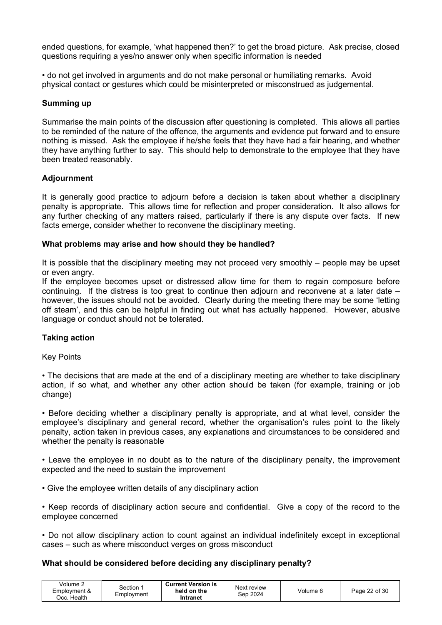ended questions, for example, 'what happened then?' to get the broad picture. Ask precise, closed questions requiring a yes/no answer only when specific information is needed

• do not get involved in arguments and do not make personal or humiliating remarks. Avoid physical contact or gestures which could be misinterpreted or misconstrued as judgemental.

#### Summing up

Summarise the main points of the discussion after questioning is completed. This allows all parties to be reminded of the nature of the offence, the arguments and evidence put forward and to ensure nothing is missed. Ask the employee if he/she feels that they have had a fair hearing, and whether they have anything further to say. This should help to demonstrate to the employee that they have been treated reasonably.

#### Adjournment

It is generally good practice to adjourn before a decision is taken about whether a disciplinary penalty is appropriate. This allows time for reflection and proper consideration. It also allows for any further checking of any matters raised, particularly if there is any dispute over facts. If new facts emerge, consider whether to reconvene the disciplinary meeting.

#### What problems may arise and how should they be handled?

It is possible that the disciplinary meeting may not proceed very smoothly – people may be upset or even angry.

If the employee becomes upset or distressed allow time for them to regain composure before continuing. If the distress is too great to continue then adjourn and reconvene at a later date – however, the issues should not be avoided. Clearly during the meeting there may be some 'letting off steam', and this can be helpful in finding out what has actually happened. However, abusive language or conduct should not be tolerated.

# Taking action

Key Points

• The decisions that are made at the end of a disciplinary meeting are whether to take disciplinary action, if so what, and whether any other action should be taken (for example, training or job change)

• Before deciding whether a disciplinary penalty is appropriate, and at what level, consider the employee's disciplinary and general record, whether the organisation's rules point to the likely penalty, action taken in previous cases, any explanations and circumstances to be considered and whether the penalty is reasonable

• Leave the employee in no doubt as to the nature of the disciplinary penalty, the improvement expected and the need to sustain the improvement

• Give the employee written details of any disciplinary action

• Keep records of disciplinary action secure and confidential. Give a copy of the record to the employee concerned

• Do not allow disciplinary action to count against an individual indefinitely except in exceptional cases – such as where misconduct verges on gross misconduct

#### What should be considered before deciding any disciplinary penalty?

| Volume 2<br><b>Current Version is</b><br>Section∹<br>held on the<br>Employment &<br>Employment<br>Occ. Health<br>Intranet | Next review<br>Sep 2024 | Volume 6 | Page 22 of 30 |
|---------------------------------------------------------------------------------------------------------------------------|-------------------------|----------|---------------|
|---------------------------------------------------------------------------------------------------------------------------|-------------------------|----------|---------------|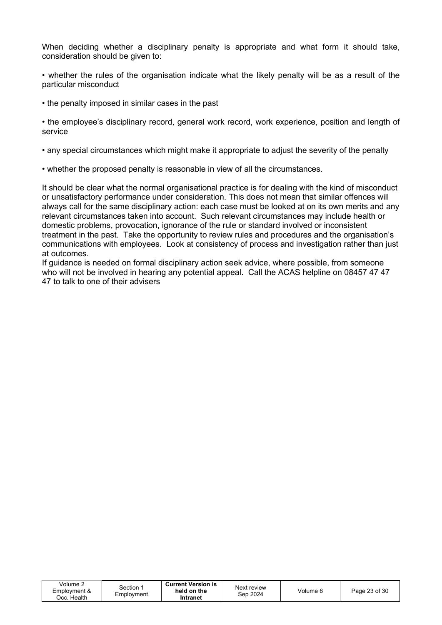When deciding whether a disciplinary penalty is appropriate and what form it should take, consideration should be given to:

• whether the rules of the organisation indicate what the likely penalty will be as a result of the particular misconduct

• the penalty imposed in similar cases in the past

• the employee's disciplinary record, general work record, work experience, position and length of service

• any special circumstances which might make it appropriate to adjust the severity of the penalty

• whether the proposed penalty is reasonable in view of all the circumstances.

It should be clear what the normal organisational practice is for dealing with the kind of misconduct or unsatisfactory performance under consideration. This does not mean that similar offences will always call for the same disciplinary action: each case must be looked at on its own merits and any relevant circumstances taken into account. Such relevant circumstances may include health or domestic problems, provocation, ignorance of the rule or standard involved or inconsistent treatment in the past. Take the opportunity to review rules and procedures and the organisation's communications with employees. Look at consistency of process and investigation rather than just at outcomes.

If guidance is needed on formal disciplinary action seek advice, where possible, from someone who will not be involved in hearing any potential appeal. Call the ACAS helpline on 08457 47 47 47 to talk to one of their advisers

| Volume 2<br>Employment &<br>Occ. Health | Section ∵<br>Employment | <b>Current Version is</b><br>held on the<br>Intranet | Next review<br>Sep 2024 | Volume 6 | Page 23 of 30 |
|-----------------------------------------|-------------------------|------------------------------------------------------|-------------------------|----------|---------------|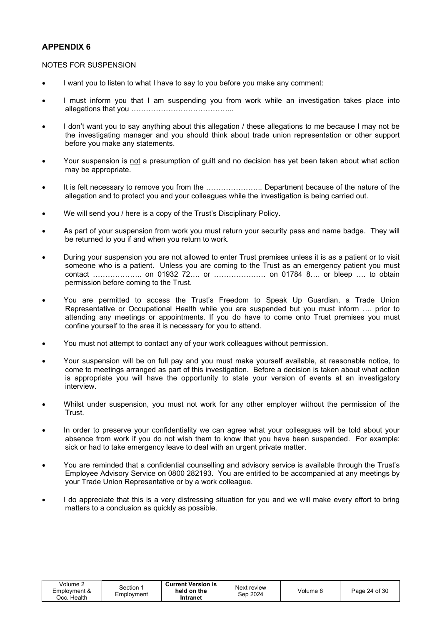#### NOTES FOR SUSPENSION

- I want you to listen to what I have to say to you before you make any comment:
- I must inform you that I am suspending you from work while an investigation takes place into allegations that you …………………………………...
- I don't want you to say anything about this allegation / these allegations to me because I may not be the investigating manager and you should think about trade union representation or other support before you make any statements.
- Your suspension is not a presumption of guilt and no decision has yet been taken about what action may be appropriate.
- It is felt necessary to remove you from the ………………….. Department because of the nature of the allegation and to protect you and your colleagues while the investigation is being carried out.
- We will send you / here is a copy of the Trust's Disciplinary Policy.
- As part of your suspension from work you must return your security pass and name badge. They will be returned to you if and when you return to work.
- During your suspension you are not allowed to enter Trust premises unless it is as a patient or to visit someone who is a patient. Unless you are coming to the Trust as an emergency patient you must contact ……………….. on 01932 72…. or ………………… on 01784 8…. or bleep …. to obtain permission before coming to the Trust.
- You are permitted to access the Trust's Freedom to Speak Up Guardian, a Trade Union Representative or Occupational Health while you are suspended but you must inform …. prior to attending any meetings or appointments. If you do have to come onto Trust premises you must confine yourself to the area it is necessary for you to attend.
- You must not attempt to contact any of your work colleagues without permission.
- Your suspension will be on full pay and you must make yourself available, at reasonable notice, to come to meetings arranged as part of this investigation. Before a decision is taken about what action is appropriate you will have the opportunity to state your version of events at an investigatory interview.
- Whilst under suspension, you must not work for any other employer without the permission of the **Trust**
- In order to preserve your confidentiality we can agree what your colleagues will be told about your absence from work if you do not wish them to know that you have been suspended. For example: sick or had to take emergency leave to deal with an urgent private matter.
- You are reminded that a confidential counselling and advisory service is available through the Trust's Employee Advisory Service on 0800 282193. You are entitled to be accompanied at any meetings by your Trade Union Representative or by a work colleague.
- I do appreciate that this is a very distressing situation for you and we will make every effort to bring matters to a conclusion as quickly as possible.

| Volume 2<br>Employment &<br>Occ. Health | Section 1<br>Employment | <b>Current Version is</b><br>held on the<br>Intranet | Next review<br>Sep 2024 | Volume 6 | Page 24 of 30 |
|-----------------------------------------|-------------------------|------------------------------------------------------|-------------------------|----------|---------------|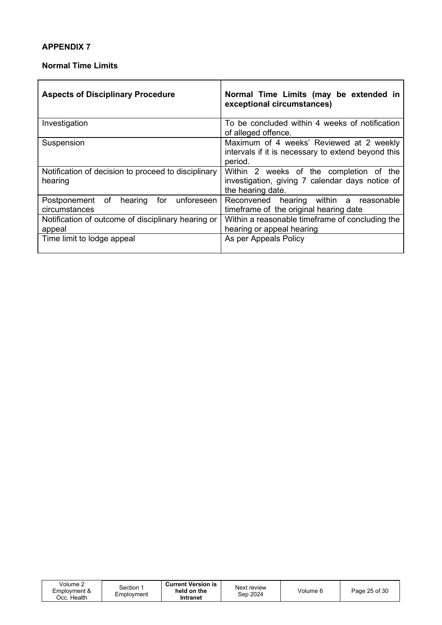#### Normal Time Limits

| <b>Aspects of Disciplinary Procedure</b>                            | Normal Time Limits (may be extended in<br>exceptional circumstances)                                            |
|---------------------------------------------------------------------|-----------------------------------------------------------------------------------------------------------------|
| Investigation                                                       | To be concluded within 4 weeks of notification<br>of alleged offence.                                           |
| Suspension                                                          | Maximum of 4 weeks' Reviewed at 2 weekly<br>intervals if it is necessary to extend beyond this<br>period.       |
| Notification of decision to proceed to disciplinary<br>hearing      | Within 2 weeks of the completion of the<br>investigation, giving 7 calendar days notice of<br>the hearing date. |
| for<br>unforeseen<br>of<br>hearing<br>Postponement<br>circumstances | Reconvened hearing within a<br>reasonable<br>timeframe of the original hearing date                             |
| Notification of outcome of disciplinary hearing or<br>appeal        | Within a reasonable timeframe of concluding the<br>hearing or appeal hearing                                    |
| Time limit to lodge appeal                                          | As per Appeals Policy                                                                                           |

| Volume 2<br>Employment &<br>Occ. Health | Section :<br>Employment | <b>Current Version is</b><br>held on the<br>Intranet | Next review<br>Sep 2024 | Volume 6 | Page 25 of 30 |
|-----------------------------------------|-------------------------|------------------------------------------------------|-------------------------|----------|---------------|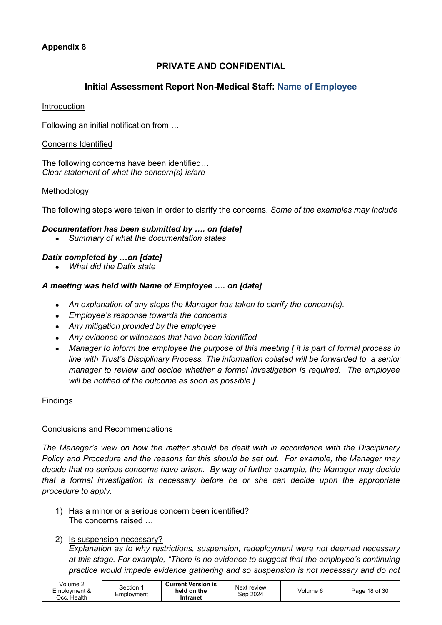# Appendix 8

# PRIVATE AND CONFIDENTIAL

# Initial Assessment Report Non-Medical Staff: Name of Employee

#### Introduction

Following an initial notification from …

#### Concerns Identified

The following concerns have been identified… Clear statement of what the concern(s) is/are

#### Methodology

The following steps were taken in order to clarify the concerns. Some of the examples may include

#### Documentation has been submitted by …. on [date]

• Summary of what the documentation states

#### Datix completed by …on [date]

• What did the Datix state

#### A meeting was held with Name of Employee …. on [date]

- An explanation of any steps the Manager has taken to clarify the concern(s).
- Employee's response towards the concerns
- Any mitigation provided by the employee
- Any evidence or witnesses that have been identified
- Manager to inform the employee the purpose of this meeting [ it is part of formal process in line with Trust's Disciplinary Process. The information collated will be forwarded to a senior manager to review and decide whether a formal investigation is required. The employee will be notified of the outcome as soon as possible.]

#### Findings

#### Conclusions and Recommendations

The Manager's view on how the matter should be dealt with in accordance with the Disciplinary Policy and Procedure and the reasons for this should be set out. For example, the Manager may decide that no serious concerns have arisen. By way of further example, the Manager may decide that a formal investigation is necessary before he or she can decide upon the appropriate procedure to apply.

1) Has a minor or a serious concern been identified? The concerns raised …

#### 2) Is suspension necessary?

Explanation as to why restrictions, suspension, redeployment were not deemed necessary at this stage. For example, "There is no evidence to suggest that the employee's continuing practice would impede evidence gathering and so suspension is not necessary and do not

| Volume 2<br><b>Current Version is</b><br>Section <sup>.</sup><br>held on the<br>Employment &<br>Emplovment<br>.Cc. Health<br>Intranet | Next review<br>Volume 6<br>Sep 2024 | Page 18 of 30 |
|---------------------------------------------------------------------------------------------------------------------------------------|-------------------------------------|---------------|
|---------------------------------------------------------------------------------------------------------------------------------------|-------------------------------------|---------------|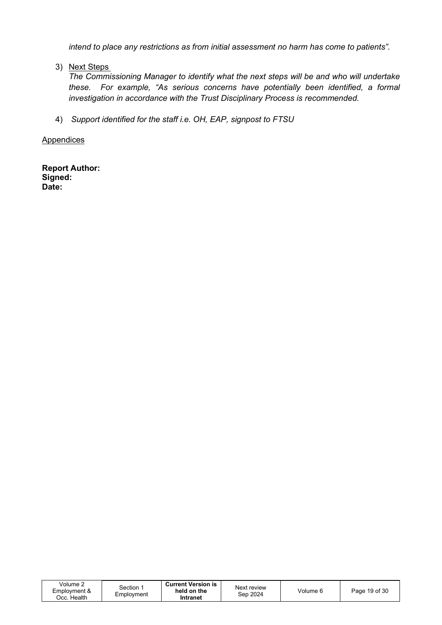intend to place any restrictions as from initial assessment no harm has come to patients".

3) Next Steps

The Commissioning Manager to identify what the next steps will be and who will undertake these. For example, "As serious concerns have potentially been identified, a formal investigation in accordance with the Trust Disciplinary Process is recommended.

4) Support identified for the staff i.e. OH, EAP, signpost to FTSU

**Appendices** 

Report Author: Signed: Date:

| Volume 2<br>Employment &<br>วcc. Health | Section <sup>.</sup><br>Emplovment | <b>Current Version is</b><br>held on the<br>Intranet | Next review<br>Sep 2024 | Volume 6 | Page 19 of 30 |
|-----------------------------------------|------------------------------------|------------------------------------------------------|-------------------------|----------|---------------|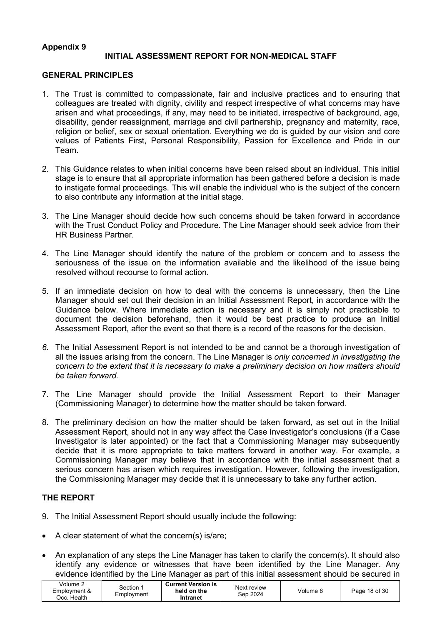#### Appendix 9 INITIAL ASSESSMENT REPORT FOR NON-MEDICAL STAFF

#### GENERAL PRINCIPLES

- 1. The Trust is committed to compassionate, fair and inclusive practices and to ensuring that colleagues are treated with dignity, civility and respect irrespective of what concerns may have arisen and what proceedings, if any, may need to be initiated, irrespective of background, age, disability, gender reassignment, marriage and civil partnership, pregnancy and maternity, race, religion or belief, sex or sexual orientation. Everything we do is guided by our vision and core values of Patients First, Personal Responsibility, Passion for Excellence and Pride in our Team.
- 2. This Guidance relates to when initial concerns have been raised about an individual. This initial stage is to ensure that all appropriate information has been gathered before a decision is made to instigate formal proceedings. This will enable the individual who is the subject of the concern to also contribute any information at the initial stage.
- 3. The Line Manager should decide how such concerns should be taken forward in accordance with the Trust Conduct Policy and Procedure. The Line Manager should seek advice from their HR Business Partner.
- 4. The Line Manager should identify the nature of the problem or concern and to assess the seriousness of the issue on the information available and the likelihood of the issue being resolved without recourse to formal action.
- 5. If an immediate decision on how to deal with the concerns is unnecessary, then the Line Manager should set out their decision in an Initial Assessment Report, in accordance with the Guidance below. Where immediate action is necessary and it is simply not practicable to document the decision beforehand, then it would be best practice to produce an Initial Assessment Report, after the event so that there is a record of the reasons for the decision.
- 6. The Initial Assessment Report is not intended to be and cannot be a thorough investigation of all the issues arising from the concern. The Line Manager is only concerned in investigating the concern to the extent that it is necessary to make a preliminary decision on how matters should be taken forward.
- 7. The Line Manager should provide the Initial Assessment Report to their Manager (Commissioning Manager) to determine how the matter should be taken forward.
- 8. The preliminary decision on how the matter should be taken forward, as set out in the Initial Assessment Report, should not in any way affect the Case Investigator's conclusions (if a Case Investigator is later appointed) or the fact that a Commissioning Manager may subsequently decide that it is more appropriate to take matters forward in another way. For example, a Commissioning Manager may believe that in accordance with the initial assessment that a serious concern has arisen which requires investigation. However, following the investigation, the Commissioning Manager may decide that it is unnecessary to take any further action.

#### THE REPORT

- 9. The Initial Assessment Report should usually include the following:
- A clear statement of what the concern(s) is/are;
- An explanation of any steps the Line Manager has taken to clarify the concern(s). It should also identify any evidence or witnesses that have been identified by the Line Manager. Any evidence identified by the Line Manager as part of this initial assessment should be secured in

| held on the<br>Employment &<br>Volume 6<br>Sep 2024<br>Employment<br>Health<br>Dcc. I<br>Intranet | <b>Current Version is</b><br>Volume $\sim$<br>Section | Next review |  | Page 18 of 30 |  |
|---------------------------------------------------------------------------------------------------|-------------------------------------------------------|-------------|--|---------------|--|
|---------------------------------------------------------------------------------------------------|-------------------------------------------------------|-------------|--|---------------|--|